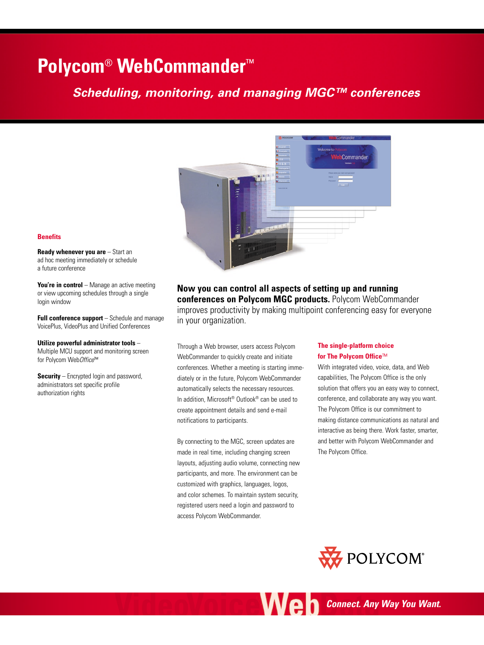# **Polycom**® **WebCommander**™

# *Scheduling, monitoring, and managing MGC™ conferences*



# **Benefits**

**Ready whenever you are** – Start an ad hoc meeting immediately or schedule a future conference

You're in control – Manage an active meeting or view upcoming schedules through a single login window

**Full conference support** – Schedule and manage VoicePlus, VideoPlus and Unified Conferences

**Utilize powerful administrator tools** –

Multiple MCU support and monitoring screen for Polycom Web*Office*™

**Security** – Encrypted login and password, administrators set specific profile authorization rights

**Now you can control all aspects of setting up and running conferences on Polycom MGC products.** Polycom WebCommander improves productivity by making multipoint conferencing easy for everyone in your organization.

Through a Web browser, users access Polycom WebCommander to quickly create and initiate conferences. Whether a meeting is starting immediately or in the future, Polycom WebCommander automatically selects the necessary resources. In addition, Microsoft® Outlook® can be used to create appointment details and send e-mail notifications to participants.

By connecting to the MGC, screen updates are made in real time, including changing screen layouts, adjusting audio volume, connecting new participants, and more. The environment can be customized with graphics, languages, logos, and color schemes. To maintain system security, registered users need a login and password to access Polycom WebCommander.

# **The single-platform choice for The Polycom Office**™

With integrated video, voice, data, and Web capabilities, The Polycom Office is the only solution that offers you an easy way to connect, conference, and collaborate any way you want. The Polycom Office is our commitment to making distance communications as natural and interactive as being there. Work faster, smarter, and better with Polycom WebCommander and The Polycom Office.